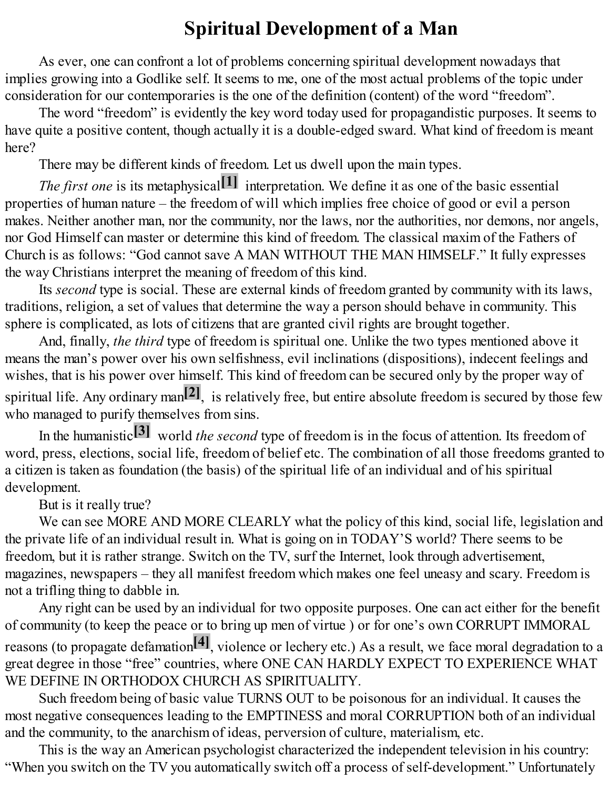## **Spiritual Development of a Man**

As ever, one can confront a lot of problems concerning spiritual development nowadays that implies growing into a Godlike self. It seems to me, one of the most actual problems of the topic under consideration for our contemporaries is the one of the definition (content) of the word "freedom".

The word "freedom" is evidently the key word today used for propagandistic purposes. It seems to have quite a positive content, though actually it is a double-edged sward. What kind of freedom is meant here?

There may be different kinds of freedom. Let us dwell upon the main types.

*The first one* is its metaphysical **[1]** interpretation. We define it as one of the basic essential properties of human nature – the freedom of will which implies free choice of good or evil a person makes. Neither another man, nor the community, nor the laws, nor the authorities, nor demons, nor angels, nor God Himself can master or determine this kind of freedom. The classical maxim of the Fathers of Church is as follows: "God cannot save A MAN WITHOUT THE MAN HIMSELF." It fully expresses the way Christians interpret the meaning of freedom of this kind.

Its *second* type is social. These are external kinds of freedom granted by community with its laws, traditions, religion, a set of values that determine the way a person should behave in community. This sphere is complicated, as lots of citizens that are granted civil rights are brought together.

And, finally, *the third* type of freedom is spiritual one. Unlike the two types mentioned above it means the man's power over his own selfishness, evil inclinations (dispositions), indecent feelings and wishes, that is his power over himself. This kind of freedom can be secured only by the proper way of spiritual life. Any ordinary man<sup>[2]</sup>, is relatively free, but entire absolute freedom is secured by those few who managed to purify themselves from sins.

In the humanistic **[3]** world *the second* type of freedom is in the focus of attention. Its freedom of word, press, elections, social life, freedom of belief etc. The combination of all those freedoms granted to a citizen is taken as foundation (the basis) of the spiritual life of an individual and of his spiritual development.

But is it really true?

We can see MORE AND MORE CLEARLY what the policy of this kind, social life, legislation and the private life of an individual result in. What is going on in TODAY'S world? There seems to be freedom, but it is rather strange. Switch on the TV, surf the Internet, look through advertisement, magazines, newspapers – they all manifest freedom which makes one feel uneasy and scary. Freedom is not a trifling thing to dabble in.

Any right can be used by an individual for two opposite purposes. One can act either for the benefit of community (to keep the peace or to bring up men of virtue ) or for one's own CORRUPT IMMORAL reasons (to propagate defamation **[4]** , violence or lechery etc.) As a result, we face moral degradation to a great degree in those "free" countries, where ONE CAN HARDLY EXPECT TO EXPERIENCE WHAT WE DEFINE IN ORTHODOX CHURCH AS SPIRITUALITY.

Such freedom being of basic value TURNS OUT to be poisonous for an individual. It causes the most negative consequences leading to the EMPTINESS and moral CORRUPTION both of an individual and the community, to the anarchism of ideas, perversion of culture, materialism, etc.

This is the way an American psychologist characterized the independent television in his country: "When you switch on the TV you automatically switch off a process of self-development." Unfortunately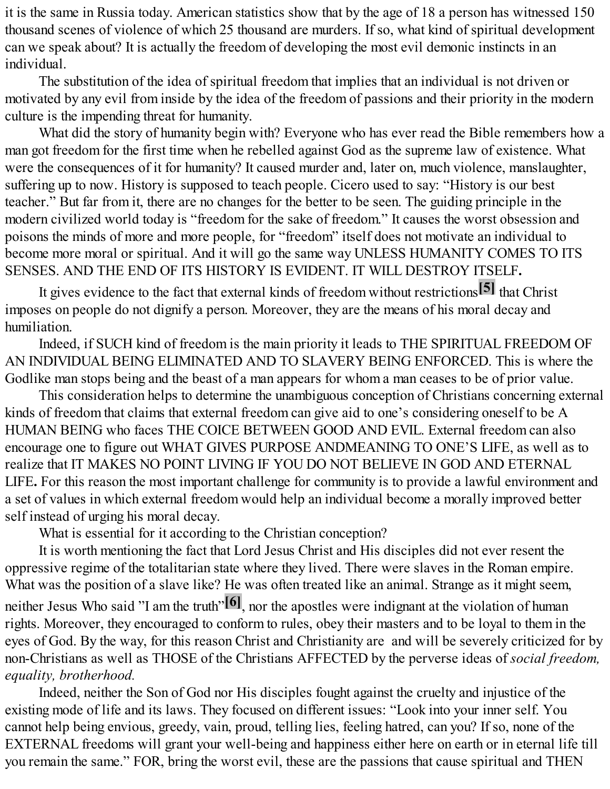it is the same in Russia today. American statistics show that by the age of 18 a person has witnessed 150 thousand scenes of violence of which 25 thousand are murders. If so, what kind of spiritual development can we speak about? It is actually the freedom of developing the most evil demonic instincts in an individual.

The substitution of the idea of spiritual freedom that implies that an individual is not driven or motivated by any evil from inside by the idea of the freedom of passions and their priority in the modern culture is the impending threat for humanity.

What did the story of humanity begin with? Everyone who has ever read the Bible remembers how a man got freedom for the first time when he rebelled against God as the supreme law of existence. What were the consequences of it for humanity? It caused murder and, later on, much violence, manslaughter, suffering up to now. History is supposed to teach people. Cicero used to say: "History is our best teacher." But far from it, there are no changes for the better to be seen. The guiding principle in the modern civilized world today is "freedom for the sake of freedom." It causes the worst obsession and poisons the minds of more and more people, for "freedom" itself does not motivate an individual to become more moral or spiritual. And it will go the same way UNLESS HUMANITY COMES TO ITS SENSES. AND THE END OF ITS HISTORY IS EVIDENT. IT WILL DESTROY ITSELF**.**

It gives evidence to the fact that external kinds of freedom without restrictions **[5]** that Christ imposes on people do not dignify a person. Moreover, they are the means of his moral decay and humiliation.

Indeed, if SUCH kind of freedom is the main priority it leads to THE SPIRITUAL FREEDOM OF AN INDIVIDUAL BEING ELIMINATED AND TO SLAVERY BEING ENFORCED. This is where the Godlike man stops being and the beast of a man appears for whom a man ceases to be of prior value.

This consideration helps to determine the unambiguous conception of Christians concerning external kinds of freedom that claims that external freedom can give aid to one's considering oneself to be A HUMAN BEING who faces THE COICE BETWEEN GOOD AND EVIL. External freedom can also encourage one to figure out WHAT GIVES PURPOSE ANDMEANING TO ONE'S LIFE, as well as to realize that IT MAKES NO POINT LIVING IF YOU DO NOT BELIEVE IN GOD AND ETERNAL LIFE**.** For this reason the most important challenge for community is to provide a lawful environment and a set of values in which external freedom would help an individual become a morally improved better self instead of urging his moral decay.

What is essential for it according to the Christian conception?

It is worth mentioning the fact that Lord Jesus Christ and His disciples did not ever resent the oppressive regime of the totalitarian state where they lived. There were slaves in the Roman empire. What was the position of a slave like? He was often treated like an animal. Strange as it might seem, neither Jesus Who said "I am the truth"<sup>[6]</sup>, nor the apostles were indignant at the violation of human rights. Moreover, they encouraged to conform to rules, obey their masters and to be loyal to them in the eyes of God. By the way, for this reason Christ and Christianity are and will be severely criticized for by non-Christians as well as THOSE of the Christians AFFECTED by the perverse ideas of *social freedom, equality, brotherhood.*

Indeed, neither the Son of God nor His disciples fought against the cruelty and injustice of the existing mode of life and its laws. They focused on different issues: "Look into your inner self. You cannot help being envious, greedy, vain, proud, telling lies, feeling hatred, can you? If so, none of the EXTERNAL freedoms will grant your well-being and happiness either here on earth or in eternal life till you remain the same." FOR, bring the worst evil, these are the passions that cause spiritual and THEN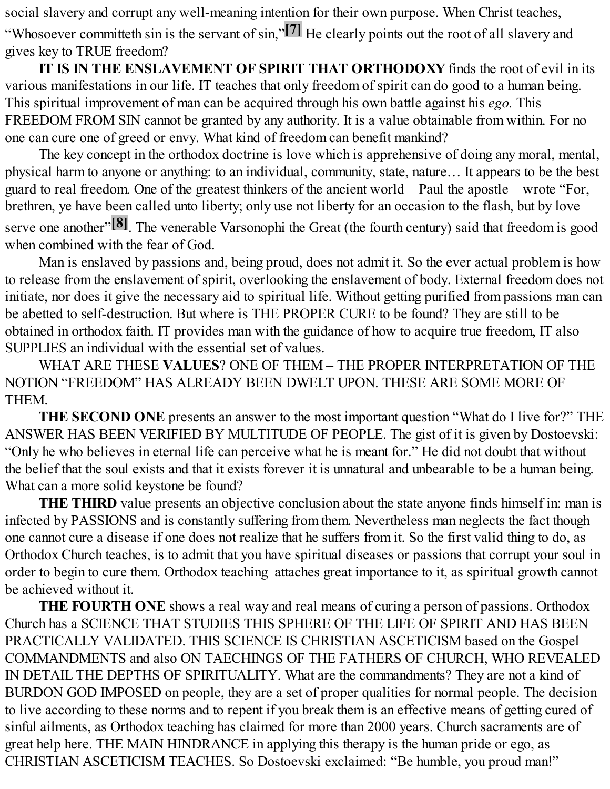social slavery and corrupt any well-meaning intention for their own purpose. When Christ teaches, "Whosoever committeth sin is the servant of sin," **[7]** He clearly points out the root of all slavery and gives key to TRUE freedom?

**IT IS IN THE ENSLAVEMENT OF SPIRIT THAT ORTHODOXY** finds the root of evil in its various manifestations in our life. IT teaches that only freedom of spirit can do good to a human being. This spiritual improvement of man can be acquired through his own battle against his *ego.* This FREEDOM FROM SIN cannot be granted by any authority. It is a value obtainable from within. For no one can cure one of greed or envy. What kind of freedom can benefit mankind?

The key concept in the orthodox doctrine is love which is apprehensive of doing any moral, mental, physical harm to anyone or anything: to an individual, community, state, nature… It appears to be the best guard to real freedom. One of the greatest thinkers of the ancient world – Paul the apostle – wrote "For, brethren, ye have been called unto liberty; only use not liberty for an occasion to the flash, but by love serve one another"<sup>[8]</sup>. The venerable Varsonophi the Great (the fourth century) said that freedom is good when combined with the fear of God.

Man is enslaved by passions and, being proud, does not admit it. So the ever actual problem is how to release from the enslavement of spirit, overlooking the enslavement of body. External freedom does not initiate, nor does it give the necessary aid to spiritual life. Without getting purified from passions man can be abetted to self-destruction. But where is THE PROPER CURE to be found? They are still to be obtained in orthodox faith. IT provides man with the guidance of how to acquire true freedom, IT also SUPPLIES an individual with the essential set of values.

WHAT ARE THESE **VALUES**? ONE OF THEM – THE PROPER INTERPRETATION OF THE NOTION "FREEDOM" HAS ALREADY BEEN DWELT UPON. THESE ARE SOME MORE OF THEM.

**THE SECOND ONE** presents an answer to the most important question "What do I live for?" THE ANSWER HAS BEEN VERIFIED BY MULTITUDE OF PEOPLE. The gist of it is given by Dostoevski: "Only he who believes in eternal life can perceive what he is meant for." He did not doubt that without the belief that the soul exists and that it exists forever it is unnatural and unbearable to be a human being. What can a more solid keystone be found?

**THE THIRD** value presents an objective conclusion about the state anyone finds himself in: man is infected by PASSIONS and is constantly suffering from them. Nevertheless man neglects the fact though one cannot cure a disease if one does not realize that he suffers from it. So the first valid thing to do, as Orthodox Church teaches, is to admit that you have spiritual diseases or passions that corrupt your soul in order to begin to cure them. Orthodox teaching attaches great importance to it, as spiritual growth cannot be achieved without it.

**THE FOURTH ONE** shows a real way and real means of curing a person of passions. Orthodox Church has a SCIENCE THAT STUDIES THIS SPHERE OF THE LIFE OF SPIRIT AND HAS BEEN PRACTICALLY VALIDATED. THIS SCIENCE IS CHRISTIAN ASCETICISM based on the Gospel COMMANDMENTS and also ON TAECHINGS OF THE FATHERS OF CHURCH, WHO REVEALED IN DETAIL THE DEPTHS OF SPIRITUALITY. What are the commandments? They are not a kind of BURDON GOD IMPOSED on people, they are a set of proper qualities for normal people. The decision to live according to these norms and to repent if you break them is an effective means of getting cured of sinful ailments, as Orthodox teaching has claimed for more than 2000 years. Church sacraments are of great help here. THE MAIN HINDRANCE in applying this therapy is the human pride or ego, as CHRISTIAN ASCETICISM TEACHES. So Dostoevski exclaimed: "Be humble, you proud man!"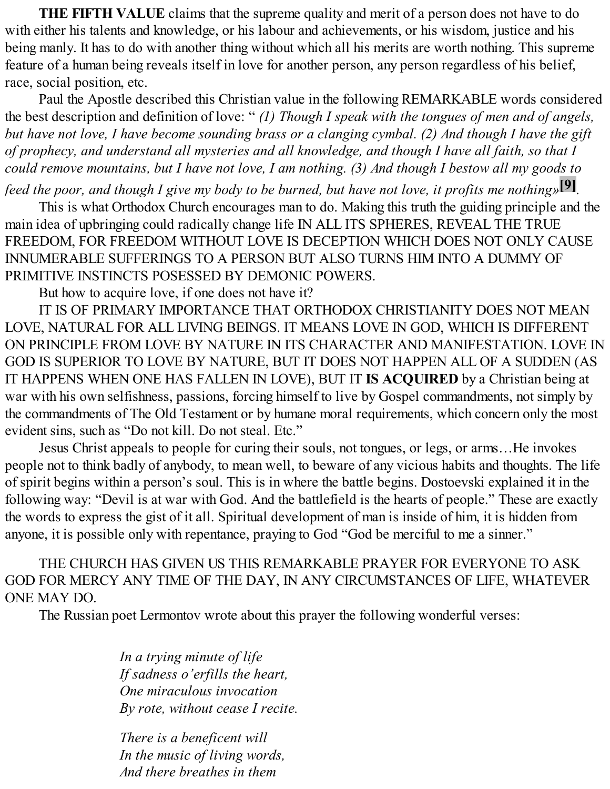**THE FIFTH VALUE** claims that the supreme quality and merit of a person does not have to do with either his talents and knowledge, or his labour and achievements, or his wisdom, justice and his being manly. It has to do with another thing without which all his merits are worth nothing. This supreme feature of a human being reveals itself in love for another person, any person regardless of his belief, race, social position, etc.

Paul the Apostle described this Christian value in the following REMARKABLE words considered the best description and definition of love: " *(1) Though I speak with the tongues of men and of angels,* but have not love, I have become sounding brass or a clanging cymbal. (2) And though I have the gift of prophecy, and understand all mysteries and all knowledge, and though I have all faith, so that I could remove mountains, but I have not love, I am nothing. (3) And though I bestow all my goods to

feed the poor, and though I give my body to be burned, but have not love, it profits me nothing» [9].

This is what Orthodox Church encourages man to do. Making this truth the guiding principle and the main idea of upbringing could radically change life IN ALL ITS SPHERES, REVEAL THE TRUE FREEDOM, FOR FREEDOM WITHOUT LOVE IS DECEPTION WHICH DOES NOT ONLY CAUSE INNUMERABLE SUFFERINGS TO A PERSON BUT ALSO TURNS HIM INTO A DUMMY OF PRIMITIVE INSTINCTS POSESSED BY DEMONIC POWERS.

But how to acquire love, if one does not have it?

IT IS OF PRIMARY IMPORTANCE THAT ORTHODOX CHRISTIANITY DOES NOT MEAN LOVE, NATURAL FOR ALL LIVING BEINGS. IT MEANS LOVE IN GOD, WHICH IS DIFFERENT ON PRINCIPLE FROM LOVE BY NATURE IN ITS CHARACTER AND MANIFESTATION. LOVE IN GOD IS SUPERIOR TO LOVE BY NATURE, BUT IT DOES NOT HAPPEN ALL OF A SUDDEN (AS IT HAPPENS WHEN ONE HAS FALLEN IN LOVE), BUT IT **IS ACQUIRED** by a Christian being at war with his own selfishness, passions, forcing himself to live by Gospel commandments, not simply by the commandments of The Old Testament or by humane moral requirements, which concern only the most evident sins, such as "Do not kill. Do not steal. Etc."

Jesus Christ appeals to people for curing their souls, not tongues, or legs, or arms…He invokes people not to think badly of anybody, to mean well, to beware of any vicious habits and thoughts. The life of spirit begins within a person's soul. This is in where the battle begins. Dostoevski explained it in the following way: "Devil is at war with God. And the battlefield is the hearts of people." These are exactly the words to express the gist of it all. Spiritual development of man is inside of him, it is hidden from anyone, it is possible only with repentance, praying to God "God be merciful to me a sinner."

THE CHURCH HAS GIVEN US THIS REMARKABLE PRAYER FOR EVERYONE TO ASK GOD FOR MERCY ANY TIME OF THE DAY, IN ANY CIRCUMSTANCES OF LIFE, WHATEVER ONE MAY DO.

The Russian poet Lermontov wrote about this prayer the following wonderful verses:

*In a trying minute of life If sadness o'erfills the heart, One miraculous invocation By rote, without cease I recite.*

*There is a beneficent will In the music of living words, And there breathes in them*